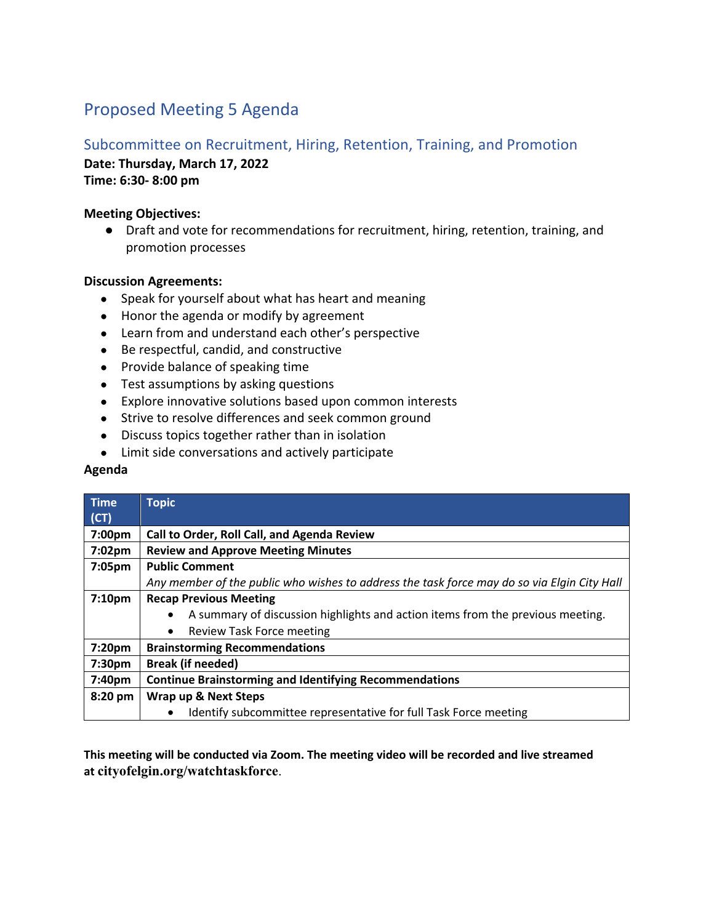# Proposed Meeting 5 Agenda

# Subcommittee on Recruitment, Hiring, Retention, Training, and Promotion

**Date: Thursday, March 17, 2022**

**Time: 6:30- 8:00 pm**

#### **Meeting Objectives:**

● Draft and vote for recommendations for recruitment, hiring, retention, training, and promotion processes

## **Discussion Agreements:**

- Speak for yourself about what has heart and meaning
- Honor the agenda or modify by agreement
- Learn from and understand each other's perspective
- Be respectful, candid, and constructive
- Provide balance of speaking time
- Test assumptions by asking questions
- Explore innovative solutions based upon common interests
- Strive to resolve differences and seek common ground
- Discuss topics together rather than in isolation
- Limit side conversations and actively participate

### **Agenda**

| <b>Time</b>        | <b>Topic</b>                                                                                |
|--------------------|---------------------------------------------------------------------------------------------|
| (CT)               |                                                                                             |
| 7:00pm             | Call to Order, Roll Call, and Agenda Review                                                 |
| 7:02 <sub>pm</sub> | <b>Review and Approve Meeting Minutes</b>                                                   |
| 7:05pm             | <b>Public Comment</b>                                                                       |
|                    | Any member of the public who wishes to address the task force may do so via Elgin City Hall |
| 7:10 <sub>pm</sub> | <b>Recap Previous Meeting</b>                                                               |
|                    | A summary of discussion highlights and action items from the previous meeting.<br>$\bullet$ |
|                    | Review Task Force meeting<br>$\bullet$                                                      |
| 7:20pm             | <b>Brainstorming Recommendations</b>                                                        |
| 7:30pm             | <b>Break (if needed)</b>                                                                    |
| 7:40pm             | <b>Continue Brainstorming and Identifying Recommendations</b>                               |
| 8:20 pm            | Wrap up & Next Steps                                                                        |
|                    | Identify subcommittee representative for full Task Force meeting<br>٠                       |

**This meeting will be conducted via Zoom. The meeting video will be recorded and live streamed at cityofelgin.org/watchtaskforce**.